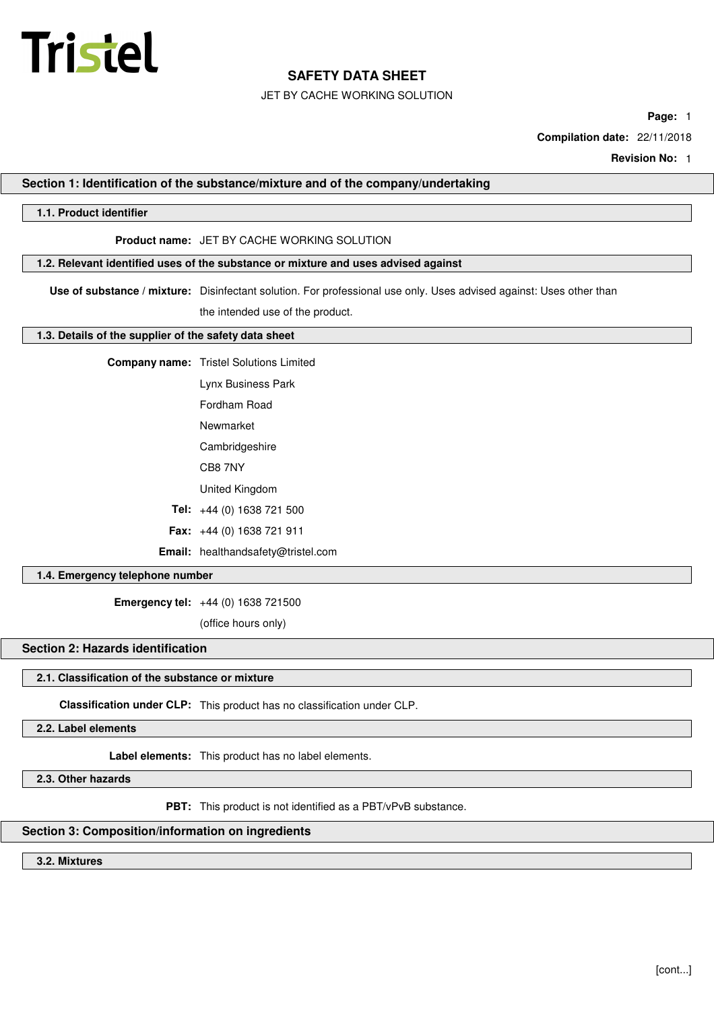

## JET BY CACHE WORKING SOLUTION

**Page:** 1

**Compilation date:** 22/11/2018

**Revision No:** 1

## **Section 1: Identification of the substance/mixture and of the company/undertaking**

## **1.1. Product identifier**

## **Product name:** JFT BY CACHE WORKING SOLUTION

## **1.2. Relevant identified uses of the substance or mixture and uses advised against**

**Use of substance / mixture:** Disinfectant solution. For professional use only. Uses advised against: Uses other than the intended use of the product.

#### **1.3. Details of the supplier of the safety data sheet**

- **Company name:** Tristel Solutions Limited
	- Lynx Business Park
	- Fordham Road
	- Newmarket
	- Cambridgeshire
	- CB8 7NY
	- United Kingdom
	- **Tel:** +44 (0) 1638 721 500
	- **Fax:** +44 (0) 1638 721 911
	- **Email:** healthandsafety@tristel.com

## **1.4. Emergency telephone number**

**Emergency tel:** +44 (0) 1638 721500

(office hours only)

## **Section 2: Hazards identification**

## **2.1. Classification of the substance or mixture**

**Classification under CLP:** This product has no classification under CLP.

**2.2. Label elements**

**Label elements:** This product has no label elements.

**2.3. Other hazards**

**PBT:** This product is not identified as a PBT/vPvB substance.

## **Section 3: Composition/information on ingredients**

**3.2. Mixtures**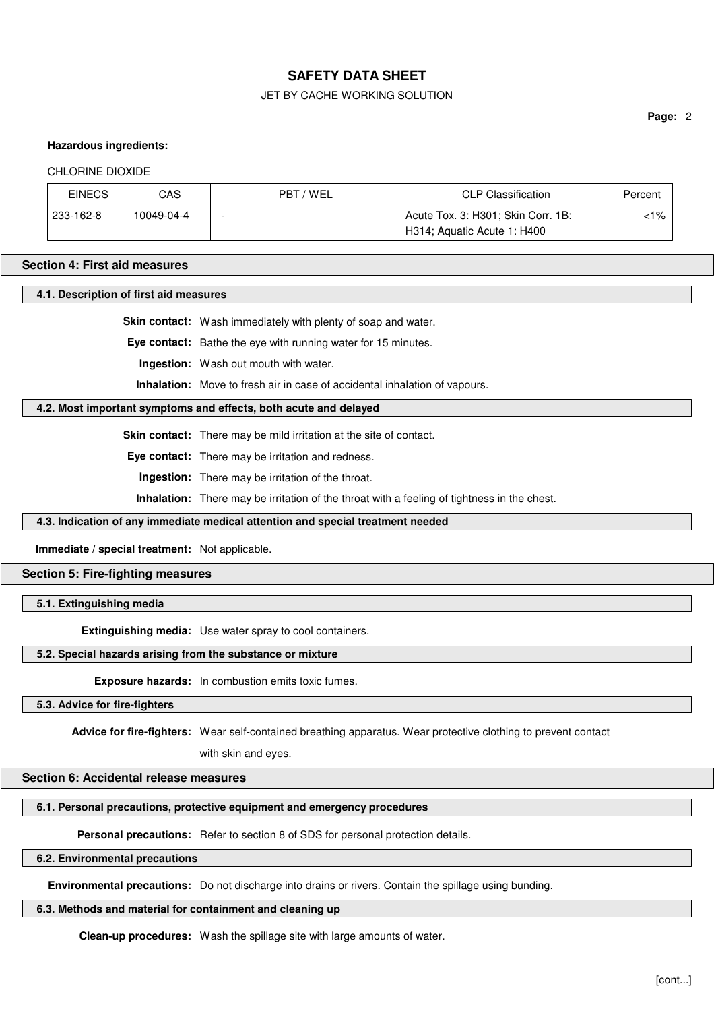## JET BY CACHE WORKING SOLUTION

**Page:** 2

#### **Hazardous ingredients:**

#### CHLORINE DIOXIDE

| <b>EINECS</b> | CAS        | PBT / WEL<br><b>CLP Classification</b> |                                    | Percent |  |
|---------------|------------|----------------------------------------|------------------------------------|---------|--|
| 233-162-8     | 10049-04-4 |                                        | Acute Tox. 3: H301; Skin Corr. 1B: | $< 1\%$ |  |
|               |            |                                        | H314; Aquatic Acute 1: H400        |         |  |

#### **Section 4: First aid measures**

**4.1. Description of first aid measures**

**Skin contact:** Wash immediately with plenty of soap and water.

**Eye contact:** Bathe the eye with running water for 15 minutes.

**Ingestion:** Wash out mouth with water.

**Inhalation:** Move to fresh air in case of accidental inhalation of vapours.

#### **4.2. Most important symptoms and effects, both acute and delayed**

**Skin contact:** There may be mild irritation at the site of contact.

**Eye contact:** There may be irritation and redness.

**Ingestion:** There may be irritation of the throat.

**Inhalation:** There may be irritation of the throat with a feeling of tightness in the chest.

## **4.3. Indication of any immediate medical attention and special treatment needed**

**Immediate / special treatment:** Not applicable.

## **Section 5: Fire-fighting measures**

## **5.1. Extinguishing media**

**Extinguishing media:** Use water spray to cool containers.

#### **5.2. Special hazards arising from the substance or mixture**

**Exposure hazards:** In combustion emits toxic fumes.

## **5.3. Advice for fire-fighters**

**Advice for fire-fighters:** Wear self-contained breathing apparatus. Wear protective clothing to prevent contact

with skin and eyes.

#### **Section 6: Accidental release measures**

## **6.1. Personal precautions, protective equipment and emergency procedures**

**Personal precautions:** Refer to section 8 of SDS for personal protection details.

## **6.2. Environmental precautions**

**Environmental precautions:** Do not discharge into drains or rivers. Contain the spillage using bunding.

## **6.3. Methods and material for containment and cleaning up**

**Clean-up procedures:** Wash the spillage site with large amounts of water.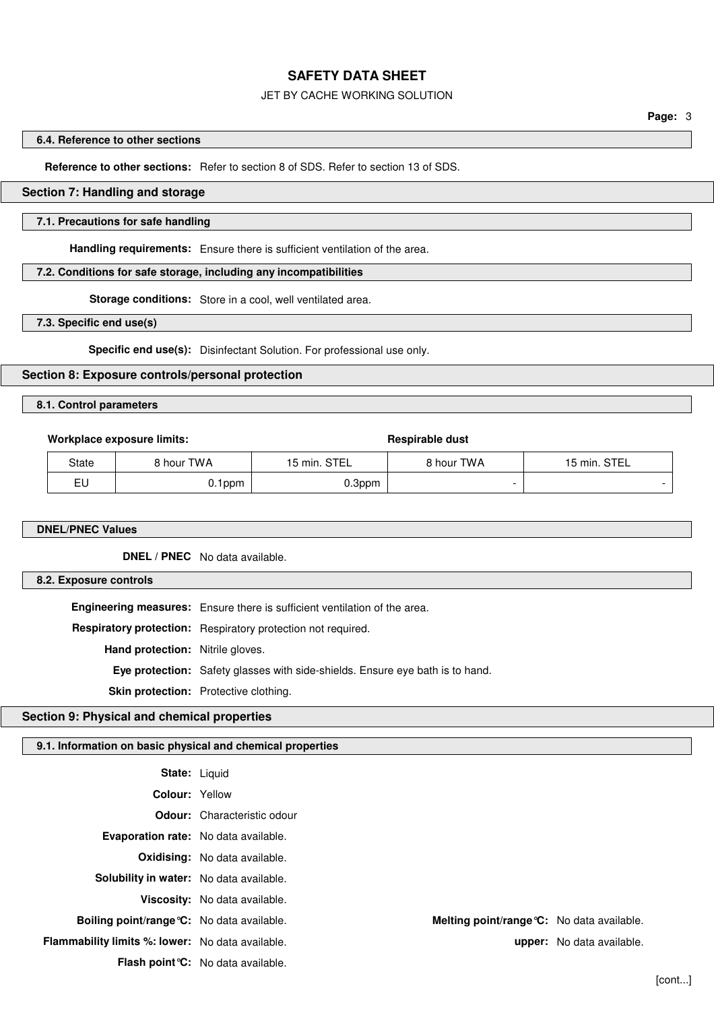#### JET BY CACHE WORKING SOLUTION

**Page:** 3

#### **6.4. Reference to other sections**

**Reference to other sections:** Refer to section 8 of SDS. Refer to section 13 of SDS.

## **Section 7: Handling and storage**

## **7.1. Precautions for safe handling**

**Handling requirements:** Ensure there is sufficient ventilation of the area.

## **7.2. Conditions for safe storage, including any incompatibilities**

**Storage conditions:** Store in a cool, well ventilated area.

**7.3. Specific end use(s)**

**Specific end use(s):** Disinfectant Solution. For professional use only.

## **Section 8: Exposure controls/personal protection**

## **8.1. Control parameters**

#### **Workplace exposure limits: Respirable dust**

| <b>State</b> | 8 hour TWA | 15 min. STEL | hour TWA ا | <b>STEL</b><br>5 min. |
|--------------|------------|--------------|------------|-----------------------|
| - 1<br>ᆸ     | 0.1ppm     | 0.3ppm       |            |                       |

#### **DNEL/PNEC Values**

**DNEL / PNEC** No data available.

#### **8.2. Exposure controls**

**Engineering measures:** Ensure there is sufficient ventilation of the area.

**Respiratory protection:** Respiratory protection not required.

**Hand protection:** Nitrile gloves.

**Eye protection:** Safety glasses with side-shields. Ensure eye bath is to hand.

**Skin protection:** Protective clothing.

# **Section 9: Physical and chemical properties**

# **9.1. Information on basic physical and chemical properties**

| <b>State: Liquid</b>                                    |                                            |                                  |
|---------------------------------------------------------|--------------------------------------------|----------------------------------|
| <b>Colour: Yellow</b>                                   |                                            |                                  |
|                                                         | <b>Odour:</b> Characteristic odour         |                                  |
| Evaporation rate: No data available.                    |                                            |                                  |
|                                                         | <b>Oxidising:</b> No data available.       |                                  |
| <b>Solubility in water:</b> No data available.          |                                            |                                  |
|                                                         | Viscosity: No data available.              |                                  |
| Boiling point/range °C: No data available.              | Melting point/range °C: No data available. |                                  |
| <b>Flammability limits %: lower:</b> No data available. |                                            | <b>upper:</b> No data available. |
|                                                         | <b>Flash point °C:</b> No data available.  |                                  |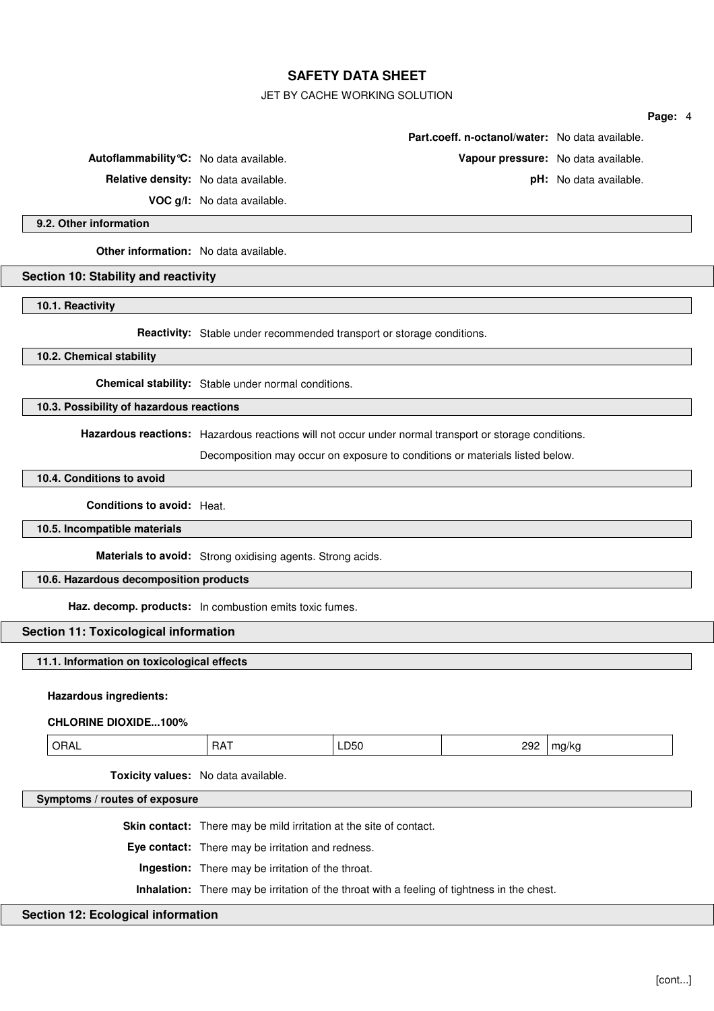JET BY CACHE WORKING SOLUTION

|                                                                                                       |                                                                                             |      |                                                 |                        | Page: 4 |  |
|-------------------------------------------------------------------------------------------------------|---------------------------------------------------------------------------------------------|------|-------------------------------------------------|------------------------|---------|--|
|                                                                                                       |                                                                                             |      | Part.coeff. n-octanol/water: No data available. |                        |         |  |
| Autoflammability °C: No data available.                                                               |                                                                                             |      | Vapour pressure: No data available.             |                        |         |  |
|                                                                                                       | Relative density: No data available.                                                        |      |                                                 | pH: No data available. |         |  |
|                                                                                                       | VOC g/I: No data available.                                                                 |      |                                                 |                        |         |  |
| 9.2. Other information                                                                                |                                                                                             |      |                                                 |                        |         |  |
| Other information: No data available.                                                                 |                                                                                             |      |                                                 |                        |         |  |
| Section 10: Stability and reactivity                                                                  |                                                                                             |      |                                                 |                        |         |  |
| 10.1. Reactivity                                                                                      |                                                                                             |      |                                                 |                        |         |  |
|                                                                                                       | Reactivity: Stable under recommended transport or storage conditions.                       |      |                                                 |                        |         |  |
| 10.2. Chemical stability                                                                              |                                                                                             |      |                                                 |                        |         |  |
|                                                                                                       | Chemical stability: Stable under normal conditions.                                         |      |                                                 |                        |         |  |
| 10.3. Possibility of hazardous reactions                                                              |                                                                                             |      |                                                 |                        |         |  |
| Hazardous reactions: Hazardous reactions will not occur under normal transport or storage conditions. |                                                                                             |      |                                                 |                        |         |  |
|                                                                                                       | Decomposition may occur on exposure to conditions or materials listed below.                |      |                                                 |                        |         |  |
| 10.4. Conditions to avoid                                                                             |                                                                                             |      |                                                 |                        |         |  |
| <b>Conditions to avoid: Heat.</b>                                                                     |                                                                                             |      |                                                 |                        |         |  |
| 10.5. Incompatible materials                                                                          |                                                                                             |      |                                                 |                        |         |  |
|                                                                                                       | Materials to avoid: Strong oxidising agents. Strong acids.                                  |      |                                                 |                        |         |  |
| 10.6. Hazardous decomposition products                                                                |                                                                                             |      |                                                 |                        |         |  |
|                                                                                                       | Haz. decomp. products: In combustion emits toxic fumes.                                     |      |                                                 |                        |         |  |
| <b>Section 11: Toxicological information</b>                                                          |                                                                                             |      |                                                 |                        |         |  |
| 11.1. Information on toxicological effects                                                            |                                                                                             |      |                                                 |                        |         |  |
|                                                                                                       |                                                                                             |      |                                                 |                        |         |  |
| <b>Hazardous ingredients:</b>                                                                         |                                                                                             |      |                                                 |                        |         |  |
| <b>CHLORINE DIOXIDE100%</b>                                                                           |                                                                                             |      |                                                 |                        |         |  |
| ORAL                                                                                                  | <b>RAT</b>                                                                                  | LD50 | 292                                             | mg/kg                  |         |  |
|                                                                                                       | Toxicity values: No data available.                                                         |      |                                                 |                        |         |  |
| Symptoms / routes of exposure                                                                         |                                                                                             |      |                                                 |                        |         |  |
|                                                                                                       | Skin contact: There may be mild irritation at the site of contact.                          |      |                                                 |                        |         |  |
|                                                                                                       | Eye contact: There may be irritation and redness.                                           |      |                                                 |                        |         |  |
|                                                                                                       | Ingestion: There may be irritation of the throat.                                           |      |                                                 |                        |         |  |
|                                                                                                       | Inhalation: There may be irritation of the throat with a feeling of tightness in the chest. |      |                                                 |                        |         |  |
| <b>Section 12: Ecological information</b>                                                             |                                                                                             |      |                                                 |                        |         |  |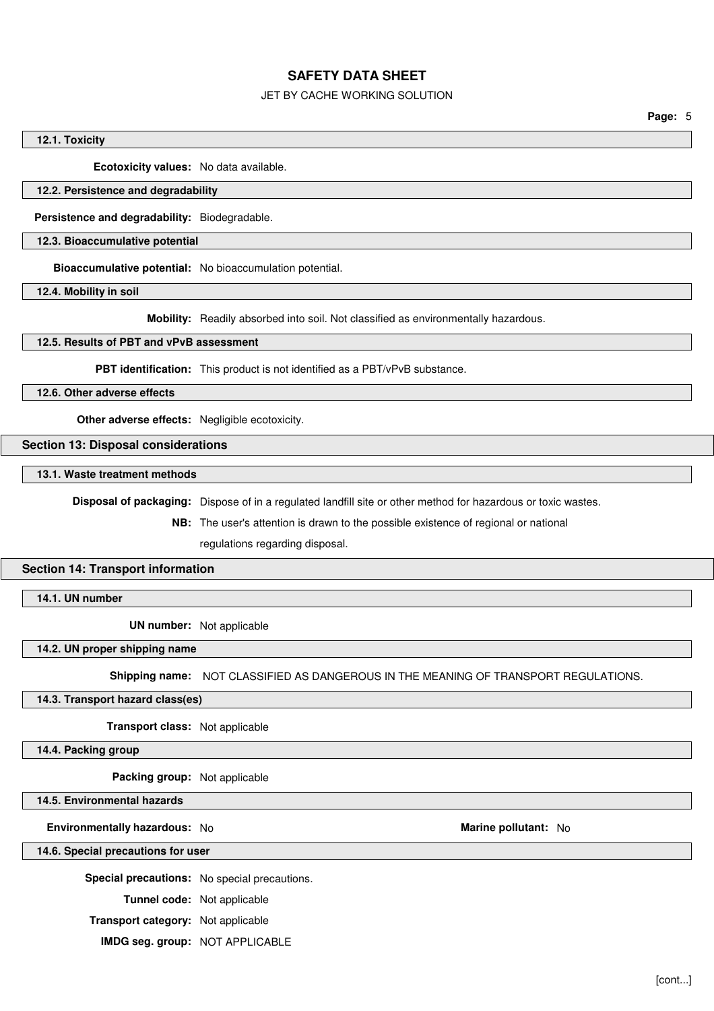## JET BY CACHE WORKING SOLUTION

**Page:** 5

#### **12.1. Toxicity**

**Ecotoxicity values:** No data available.

## **12.2. Persistence and degradability**

**Persistence and degradability:** Biodegradable.

#### **12.3. Bioaccumulative potential**

**Bioaccumulative potential:** No bioaccumulation potential.

**12.4. Mobility in soil**

**Mobility:** Readily absorbed into soil. Not classified as environmentally hazardous.

## **12.5. Results of PBT and vPvB assessment**

**PBT identification:** This product is not identified as a PBT/vPvB substance.

**12.6. Other adverse effects**

**Other adverse effects:** Negligible ecotoxicity.

## **Section 13: Disposal considerations**

#### **13.1. Waste treatment methods**

**Disposal of packaging:** Dispose of in a regulated landfill site or other method for hazardous or toxic wastes.

**NB:** The user's attention is drawn to the possible existence of regional or national

regulations regarding disposal.

#### **Section 14: Transport information**

**14.1. UN number**

**UN number:** Not applicable

**14.2. UN proper shipping name**

**Shipping name:** NOT CLASSIFIED AS DANGEROUS IN THE MEANING OF TRANSPORT REGULATIONS.

#### **14.3. Transport hazard class(es)**

**Transport class:** Not applicable

**14.4. Packing group**

**Packing group:** Not applicable

#### **14.5. Environmental hazards**

#### **Environmentally hazardous:** No **Marine pollutant:** No

#### **14.6. Special precautions for user**

**Special precautions:** No special precautions.

**Tunnel code:** Not applicable

**Transport category:** Not applicable

**IMDG seg. group:** NOT APPLICABLE